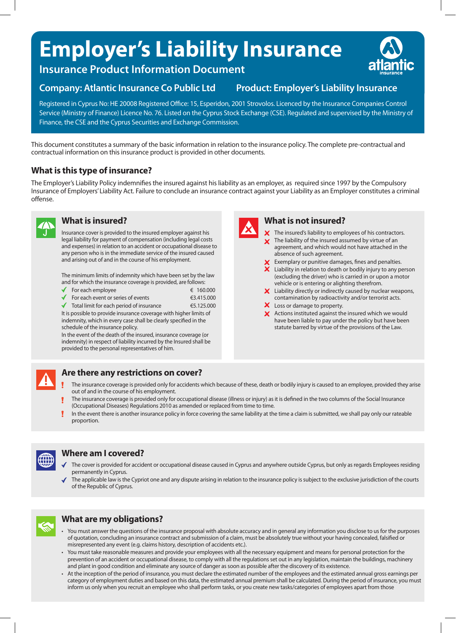# **Employer's Liability Insurance**

**Insurance Product Information Document**

# **Company: Atlantic Insurance Co Public Ltd Product: Employer's Liability Insurance**

Registered in Cyprus No: HE 20008 Registered Office: 15, Esperidon, 2001 Strovolos. Licenced by the Insurance Companies Control Service (Ministry of Finance) Licence No. 76. Listed on the Cyprus Stock Exchange (CSE). Regulated and supervised by the Ministry of Finance, the CSE and the Cyprus Securities and Exchange Commission.

This document constitutes a summary of the basic information in relation to the insurance policy. The complete pre-contractual and contractual information on this insurance product is provided in other documents.

# **What is this type of insurance?**

The Employer's Liability Policy indemnifies the insured against his liability as an employer, as required since 1997 by the Compulsory Insurance of Employers' Liability Act. Failure to conclude an insurance contract against your Liability as an Employer constitutes a criminal offense.



## **What is insured?**

Insurance cover is provided to the insured employer against his legal liability for payment of compensation (including legal costs and expenses) in relation to an accident or occupational disease to any person who is in the immediate service of the insured caused and arising out of and in the course of his employment.

The minimum limits of indemnity which have been set by the law and for which the insurance coverage is provided, are follows:

- $\blacklozenge$  For each employee  $\epsilon$  160.000
- For each event or series of events  $\epsilon$ 3.415.000
- $\blacklozenge$  Total limit for each period of insurance  $\epsilon$ 5.125.000

It is possible to provide insurance coverage with higher limits of indemnity, which in every case shall be clearly specified in the schedule of the insurance policy.

In the event of the death of the insured, insurance coverage (or indemnity) in respect of liability incurred by the Insured shall be provided to the personal representatives of him.



# **What is not insured?**

 $\boldsymbol{\times}$  The insured's liability to employees of his contractors. The liability of the insured assumed by virtue of an  $\overline{\mathbf{x}}$ agreement, and which would not have attached in the absence of such agreement.

- Exemplary or punitive damages, fines and penalties. Liability in relation to death or bodily injury to any person (excluding the driver) who is carried in or upon a motor vehicle or is entering or alighting therefrom.
- $\boldsymbol{\times}$  Liability directly or indirectly caused by nuclear weapons, contamination by radioactivity and/or terrorist acts.
- X Loss or damage to property.
- $\boldsymbol{\times}$  Actions instituted against the insured which we would have been liable to pay under the policy but have been statute barred by virtue of the provisions of the Law.



- The insurance coverage is provided only for occupational disease (illness or injury) as it is defined in the two columns of the Social Insurance (Occupational Diseases) Regulations 2010 as amended or replaced from time to time.
- In the event there is another insurance policy in force covering the same liability at the time a claim is submitted, we shall pay only our rateable proportion.



# **Where am I covered?**

- The cover is provided for accident or occupational disease caused in Cyprus and anywhere outside Cyprus, but only as regards Employees residing permanently in Cyprus.
- The applicable law is the Cypriot one and any dispute arising in relation to the insurance policy is subject to the exclusive jurisdiction of the courts of the Republic of Cyprus.



# **What are my obligations?**

- You must answer the questions of the insurance proposal with absolute accuracy and in general any information you disclose to us for the purposes of quotation, concluding an insurance contract and submission of a claim, must be absolutely true without your having concealed, falsified or misrepresented any event (e.g. claims history, description of accidents etc.).
- You must take reasonable measures and provide your employees with all the necessary equipment and means for personal protection for the prevention of an accident or occupational disease, to comply with all the regulations set out in any legislation, maintain the buildings, machinery and plant in good condition and eliminate any source of danger as soon as possible after the discovery of its existence.
- At the inception of the period of insurance, you must declare the estimated number of the employees and the estimated annual gross earnings per category of employment duties and based on this data, the estimated annual premium shall be calculated. During the period of insurance, you must inform us only when you recruit an employee who shall perform tasks, or you create new tasks/categories of employees apart from those